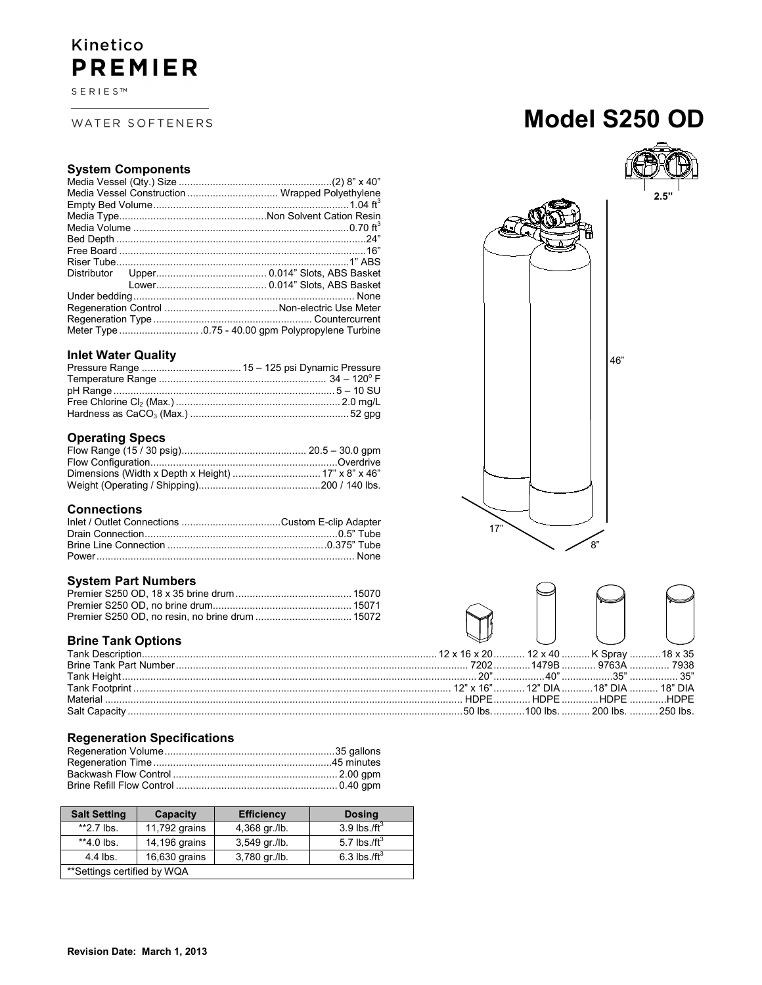## Kinetico **PREMIER**

SERIES™

#### WATER SOFTENERS

## **Model S250 OD**

46"

# **2.5"**

| Media Vessel Construction  Wrapped Polyethylene |
|-------------------------------------------------|
|                                                 |
|                                                 |
|                                                 |
|                                                 |
|                                                 |
|                                                 |
|                                                 |
|                                                 |
|                                                 |
|                                                 |
|                                                 |
|                                                 |
|                                                 |

#### **Inlet Water Quality**

#### **Operating Specs**

#### **Connections**

#### **System Part Numbers**

#### **Brine Tank Options**

#### **Regeneration Specifications**

| <b>Salt Setting</b>          | Capacity      | <b>Efficiency</b> | <b>Dosing</b>   |
|------------------------------|---------------|-------------------|-----------------|
| $**2.7$ lbs.                 | 11,792 grains | 4,368 gr./lb.     | 3.9 lbs $/ft^3$ |
| $*4.0$ lbs.                  | 14,196 grains | 3,549 gr./lb.     | 5.7 lbs./ft $3$ |
| $4.4$ lbs.                   | 16,630 grains | 3,780 gr./lb.     | 6.3 lbs./ft $3$ |
| ** Settings certified by WQA |               |                   |                 |



 $\begin{matrix}8"\\8"\\3\end{matrix}$ 

17"